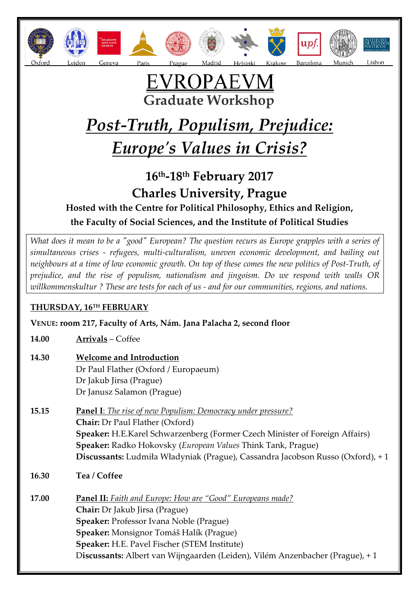









## <u>EVROPAEVM</u> **Graduate Workshop**

# *Post-Truth, Populism, Prejudice: Europe's Values in Crisis?*

### **16th-18th February 2017 Charles University, Prague Hosted with the Centre for Political Philosophy, Ethics and Religion, the Faculty of Social Sciences, and the Institute of Political Studies**

*What does it mean to be a "good" European? The question recurs as Europe grapples with a series of simultaneous crises - refugees, multi-culturalism, uneven economic development, and bailing out neighbours at a time of low economic growth. On top of these comes the new politics of Post-Truth, of prejudice, and the rise of populism, nationalism and jingoism. Do we respond with walls OR willkommenskultur ? These are tests for each of us - and for our communities, regions, and nations.*

#### **THURSDAY, 16TH FEBRUARY**

**VENUE: room 217, Faculty of Arts, Nám. Jana Palacha 2, second floor**

**14.00 Arrivals** – Coffee

#### **14.30 Welcome and Introduction** Dr Paul Flather (Oxford / Europaeum) Dr Jakub Jirsa (Prague) Dr Janusz Salamon (Prague)

- **15.15 Panel I**: *The rise of new Populism: Democracy under pressure?* **Chair:** Dr Paul Flather (Oxford) **Speaker:** H.E.Karel Schwarzenberg (Former Czech Minister of Foreign Affairs) **Speaker:** Radko Hokovsky (*European Values* Think Tank, Prague) **Discussants:** Ludmiła Władyniak (Prague), Cassandra Jacobson Russo (Oxford), + 1
- **16.30 Tea / Coffee**

**17.00 Panel II:** *Faith and Europe: How are "Good" Europeans made?* **Chair:** Dr Jakub Jirsa (Prague) **Speaker:** Professor Ivana Noble (Prague) **Speaker:** Monsignor Tomáš Halík (Prague) **Speaker:** H.E. Pavel Fischer (STEM Institute) D**iscussants:** Albert van Wijngaarden (Leiden), Vilém Anzenbacher (Prague), + 1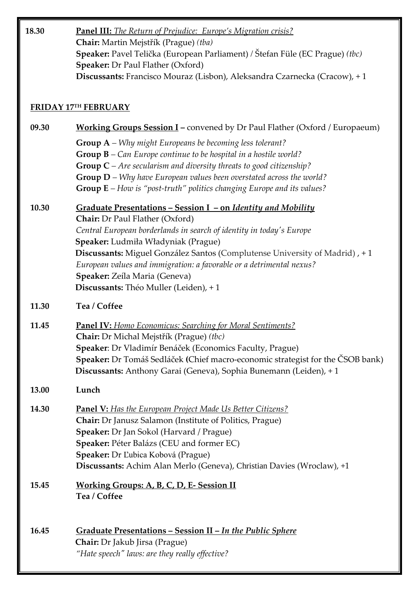| 18.30                | Panel III: The Return of Prejudice: Europe's Migration crisis?<br>Chair: Martin Mejstřík (Prague) (tba)<br>Speaker: Pavel Telička (European Parliament) / Štefan Füle (EC Prague) (tbc)<br><b>Speaker: Dr Paul Flather (Oxford)</b><br>Discussants: Francisco Mouraz (Lisbon), Aleksandra Czarnecka (Cracow), +1                                                                                                                                               |
|----------------------|----------------------------------------------------------------------------------------------------------------------------------------------------------------------------------------------------------------------------------------------------------------------------------------------------------------------------------------------------------------------------------------------------------------------------------------------------------------|
| FRIDAY 17TH FEBRUARY |                                                                                                                                                                                                                                                                                                                                                                                                                                                                |
| 09.30                | <b>Working Groups Session I</b> – convened by Dr Paul Flather (Oxford / Europaeum)                                                                                                                                                                                                                                                                                                                                                                             |
|                      | <b>Group A</b> – Why might Europeans be becoming less tolerant?<br><b>Group <math>B</math></b> – Can Europe continue to be hospital in a hostile world?<br><b>Group C</b> – Are secularism and diversity threats to good citizenship?<br>Group $D$ – Why have European values been overstated across the world?<br><b>Group <math>E</math></b> – How is "post-truth" politics changing Europe and its values?                                                  |
| 10.30                | <u><b>Graduate Presentations – Session I – on Identity and Mobility</b></u><br>Chair: Dr Paul Flather (Oxford)<br>Central European borderlands in search of identity in today's Europe<br>Speaker: Ludmiła Władyniak (Prague)<br>Discussants: Miguel González Santos (Complutense University of Madrid), +1<br>European values and immigration: a favorable or a detrimental nexus?<br>Speaker: Zeíla Maria (Geneva)<br>Discussants: Théo Muller (Leiden), + 1 |
| 11.30                | Tea / Coffee                                                                                                                                                                                                                                                                                                                                                                                                                                                   |
| 11.45                | Panel IV: Homo Economicus: Searching for Moral Sentiments?<br>Chair: Dr Michal Mejstřík (Prague) (tbc)<br>Speaker: Dr Vladimír Benáček (Economics Faculty, Prague)<br>Speaker: Dr Tomáš Sedláček (Chief macro-economic strategist for the ČSOB bank)<br>Discussants: Anthony Garai (Geneva), Sophia Bunemann (Leiden), +1                                                                                                                                      |
| 13.00                | Lunch                                                                                                                                                                                                                                                                                                                                                                                                                                                          |
| 14.30                | <b>Panel V:</b> Has the European Project Made Us Better Citizens?<br>Chair: Dr Janusz Salamon (Institute of Politics, Prague)<br><b>Speaker:</b> Dr Jan Sokol (Harvard / Prague)<br>Speaker: Péter Balázs (CEU and former EC)<br>Speaker: Dr Ľubica Kobová (Prague)<br>Discussants: Achim Alan Merlo (Geneva), Christian Davies (Wroclaw), +1                                                                                                                  |
| 15.45                | <b>Working Groups: A, B, C, D, E- Session II</b><br>Tea / Coffee                                                                                                                                                                                                                                                                                                                                                                                               |
| 16.45                | Graduate Presentations - Session II - In the Public Sphere<br>Chair: Dr Jakub Jirsa (Prague)<br>"Hate speech" laws: are they really effective?                                                                                                                                                                                                                                                                                                                 |